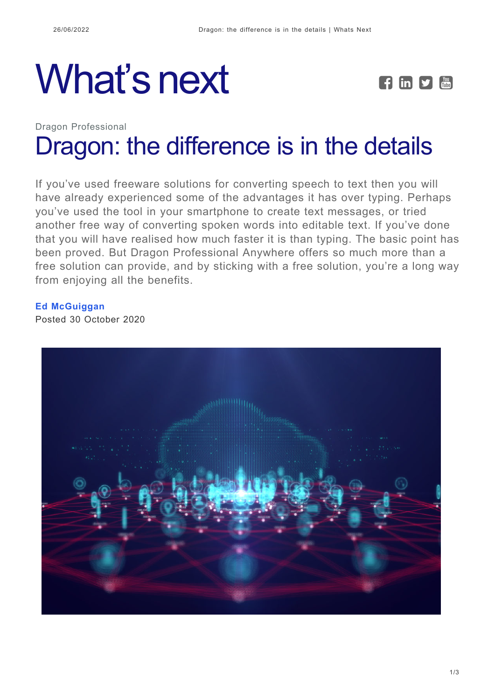## What's next **FED**



## Dragon Professional [Dragon: the difference is in the details](https://whatsnext.nuance.com/en-gb/dragon-professional/dragon-the-difference-is-in-the-details/)

If you've used freeware solutions for converting speech to text then you will have already experienced some of the advantages it has over typing. Perhaps you've used the tool in your smartphone to create text messages, or tried another free way of converting spoken words into editable text. If you've done that you will have realised how much faster it is than typing. The basic point has been proved. But Dragon Professional Anywhere offers so much more than a free solution can provide, and by sticking with a free solution, you're a long way from enjoying all the benefits.

## **[Ed McGuiggan](https://whatsnext.nuance.com/en-gb/author/edmcguiggan/)**

Posted 30 October 2020

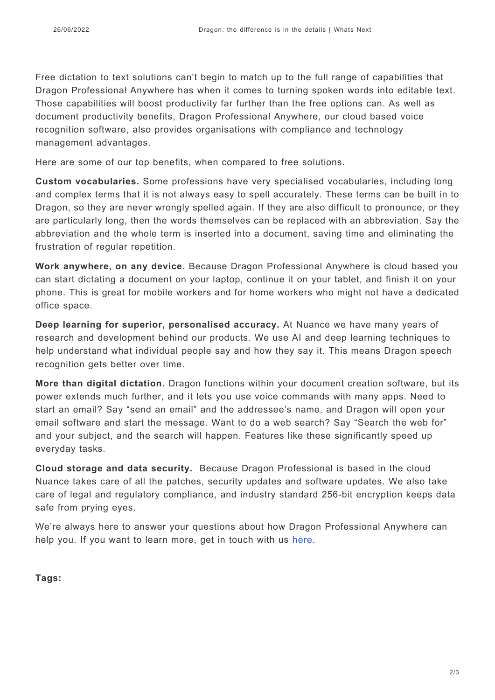Free dictation to text solutions can't begin to match up to the full range of capabilities that Dragon Professional Anywhere has when it comes to turning spoken words into editable text. Those capabilities will boost productivity far further than the free options can. As well as document productivity benefits, Dragon Professional Anywhere, our cloud based voice recognition software, also provides organisations with compliance and technology management advantages.

Here are some of our top benefits, when compared to free solutions.

**Custom vocabularies.** Some professions have very specialised vocabularies, including long and complex terms that it is not always easy to spell accurately. These terms can be built in to Dragon, so they are never wrongly spelled again. If they are also difficult to pronounce, or they are particularly long, then the words themselves can be replaced with an abbreviation. Say the abbreviation and the whole term is inserted into a document, saving time and eliminating the frustration of regular repetition.

**Work anywhere, on any device.** Because Dragon Professional Anywhere is cloud based you can start dictating a document on your laptop, continue it on your tablet, and finish it on your phone. This is great for mobile workers and for home workers who might not have a dedicated office space.

**Deep learning for superior, personalised accuracy.** At Nuance we have many years of research and development behind our products. We use AI and deep learning techniques to help understand what individual people say and how they say it. This means Dragon speech recognition gets better over time.

**More than digital dictation.** Dragon functions within your document creation software, but its power extends much further, and it lets you use voice commands with many apps. Need to start an email? Say "send an email" and the addressee's name, and Dragon will open your email software and start the message. Want to do a web search? Say "Search the web for" and your subject, and the search will happen. Features like these significantly speed up everyday tasks.

**Cloud storage and data security.** Because Dragon Professional is based in the cloud Nuance takes care of all the patches, security updates and software updates. We also take care of legal and regulatory compliance, and industry standard 256-bit encryption keeps data safe from prying eyes.

We're always here to answer your questions about how Dragon Professional Anywhere can help you. If you want to learn more, get in touch with us [here.](https://www.nuance.com/en-gb/dragon/engage-us.html)

**Tags:**